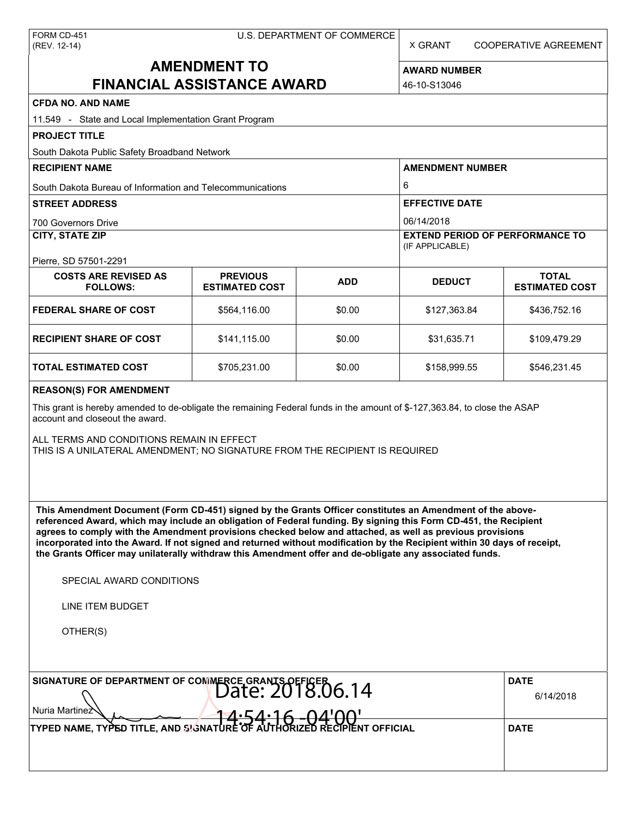X GRANT COOPERATIVE AGREEMENT

# **AMENDMENT TO FINANCIAL ASSISTANCE AWARD**

**AWARD NUMBER** 46-10-S13046

| <b>CFDA NO. AND NAME</b>                                                                                                                                                                                                                                                                                                                                                                                                                                                                                                                                                          |                                          |            |                                                           |                                       |  |  |
|-----------------------------------------------------------------------------------------------------------------------------------------------------------------------------------------------------------------------------------------------------------------------------------------------------------------------------------------------------------------------------------------------------------------------------------------------------------------------------------------------------------------------------------------------------------------------------------|------------------------------------------|------------|-----------------------------------------------------------|---------------------------------------|--|--|
| 11.549 - State and Local Implementation Grant Program                                                                                                                                                                                                                                                                                                                                                                                                                                                                                                                             |                                          |            |                                                           |                                       |  |  |
| <b>PROJECT TITLE</b>                                                                                                                                                                                                                                                                                                                                                                                                                                                                                                                                                              |                                          |            |                                                           |                                       |  |  |
| South Dakota Public Safety Broadband Network                                                                                                                                                                                                                                                                                                                                                                                                                                                                                                                                      |                                          |            |                                                           |                                       |  |  |
| <b>RECIPIENT NAME</b>                                                                                                                                                                                                                                                                                                                                                                                                                                                                                                                                                             |                                          |            | <b>AMENDMENT NUMBER</b>                                   |                                       |  |  |
| South Dakota Bureau of Information and Telecommunications                                                                                                                                                                                                                                                                                                                                                                                                                                                                                                                         |                                          |            | 6                                                         |                                       |  |  |
| <b>STREET ADDRESS</b>                                                                                                                                                                                                                                                                                                                                                                                                                                                                                                                                                             |                                          |            | <b>EFFECTIVE DATE</b>                                     |                                       |  |  |
| <b>700 Governors Drive</b>                                                                                                                                                                                                                                                                                                                                                                                                                                                                                                                                                        |                                          |            | 06/14/2018                                                |                                       |  |  |
| <b>CITY, STATE ZIP</b>                                                                                                                                                                                                                                                                                                                                                                                                                                                                                                                                                            |                                          |            | <b>EXTEND PERIOD OF PERFORMANCE TO</b><br>(IF APPLICABLE) |                                       |  |  |
| Pierre, SD 57501-2291                                                                                                                                                                                                                                                                                                                                                                                                                                                                                                                                                             |                                          |            |                                                           |                                       |  |  |
| <b>COSTS ARE REVISED AS</b><br><b>FOLLOWS:</b>                                                                                                                                                                                                                                                                                                                                                                                                                                                                                                                                    | <b>PREVIOUS</b><br><b>ESTIMATED COST</b> | <b>ADD</b> | <b>DEDUCT</b>                                             | <b>TOTAL</b><br><b>ESTIMATED COST</b> |  |  |
| <b>FEDERAL SHARE OF COST</b>                                                                                                                                                                                                                                                                                                                                                                                                                                                                                                                                                      | \$564,116.00                             | \$0.00     | \$127,363.84                                              | \$436,752.16                          |  |  |
| <b>RECIPIENT SHARE OF COST</b>                                                                                                                                                                                                                                                                                                                                                                                                                                                                                                                                                    | \$141,115.00                             | \$0.00     | \$31,635.71                                               | \$109,479.29                          |  |  |
| <b>TOTAL ESTIMATED COST</b>                                                                                                                                                                                                                                                                                                                                                                                                                                                                                                                                                       | \$705,231.00                             | \$0.00     | \$158,999.55                                              | \$546,231.45                          |  |  |
| <b>REASON(S) FOR AMENDMENT</b>                                                                                                                                                                                                                                                                                                                                                                                                                                                                                                                                                    |                                          |            |                                                           |                                       |  |  |
| This grant is hereby amended to de-obligate the remaining Federal funds in the amount of \$-127,363.84, to close the ASAP<br>account and closeout the award.                                                                                                                                                                                                                                                                                                                                                                                                                      |                                          |            |                                                           |                                       |  |  |
| ALL TERMS AND CONDITIONS REMAIN IN EFFECT<br>THIS IS A UNILATERAL AMENDMENT; NO SIGNATURE FROM THE RECIPIENT IS REQUIRED                                                                                                                                                                                                                                                                                                                                                                                                                                                          |                                          |            |                                                           |                                       |  |  |
| This Amendment Document (Form CD-451) signed by the Grants Officer constitutes an Amendment of the above-<br>referenced Award, which may include an obligation of Federal funding. By signing this Form CD-451, the Recipient<br>agrees to comply with the Amendment provisions checked below and attached, as well as previous provisions<br>incorporated into the Award. If not signed and returned without modification by the Recipient within 30 days of receipt,<br>the Grants Officer may unilaterally withdraw this Amendment offer and de-obligate any associated funds. |                                          |            |                                                           |                                       |  |  |
| SPECIAL AWARD CONDITIONS                                                                                                                                                                                                                                                                                                                                                                                                                                                                                                                                                          |                                          |            |                                                           |                                       |  |  |
| <b>LINE ITEM BUDGET</b>                                                                                                                                                                                                                                                                                                                                                                                                                                                                                                                                                           |                                          |            |                                                           |                                       |  |  |
| OTHER(S)                                                                                                                                                                                                                                                                                                                                                                                                                                                                                                                                                                          |                                          |            |                                                           |                                       |  |  |
| SIGNATURE OF DEPARTMENT OF COMMERCE GRANTS OFFICER 06.14<br>Nuria Martinez                                                                                                                                                                                                                                                                                                                                                                                                                                                                                                        | <b>DATE</b><br>6/14/2018                 |            |                                                           |                                       |  |  |
|                                                                                                                                                                                                                                                                                                                                                                                                                                                                                                                                                                                   | $14.54.16 - 04'00'$                      |            |                                                           |                                       |  |  |

Nuria Martinez **And Structure of AUTHORIZED RECIPIENT OFFICIAL**